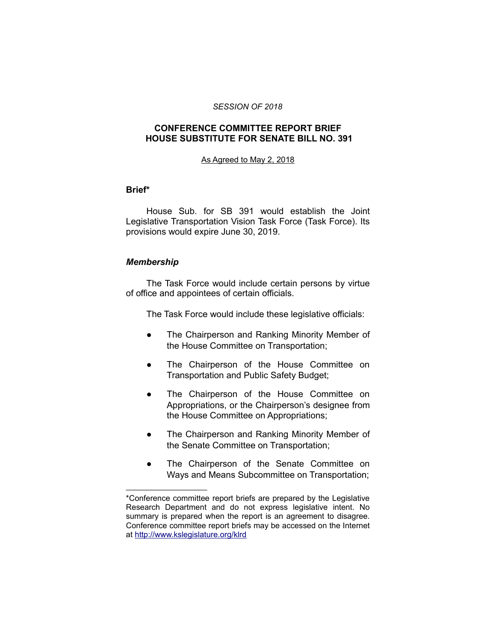#### *SESSION OF 2018*

# **CONFERENCE COMMITTEE REPORT BRIEF HOUSE SUBSTITUTE FOR SENATE BILL NO. 391**

#### As Agreed to May 2, 2018

### **Brief\***

House Sub. for SB 391 would establish the Joint Legislative Transportation Vision Task Force (Task Force). Its provisions would expire June 30, 2019.

# *Membership*

\_\_\_\_\_\_\_\_\_\_\_\_\_\_\_\_\_\_\_\_

The Task Force would include certain persons by virtue of office and appointees of certain officials.

The Task Force would include these legislative officials:

- The Chairperson and Ranking Minority Member of the House Committee on Transportation;
- The Chairperson of the House Committee on Transportation and Public Safety Budget;
- The Chairperson of the House Committee on Appropriations, or the Chairperson's designee from the House Committee on Appropriations;
- The Chairperson and Ranking Minority Member of the Senate Committee on Transportation;
- The Chairperson of the Senate Committee on Ways and Means Subcommittee on Transportation;

<sup>\*</sup>Conference committee report briefs are prepared by the Legislative Research Department and do not express legislative intent. No summary is prepared when the report is an agreement to disagree. Conference committee report briefs may be accessed on the Internet at<http://www.kslegislature.org/klrd>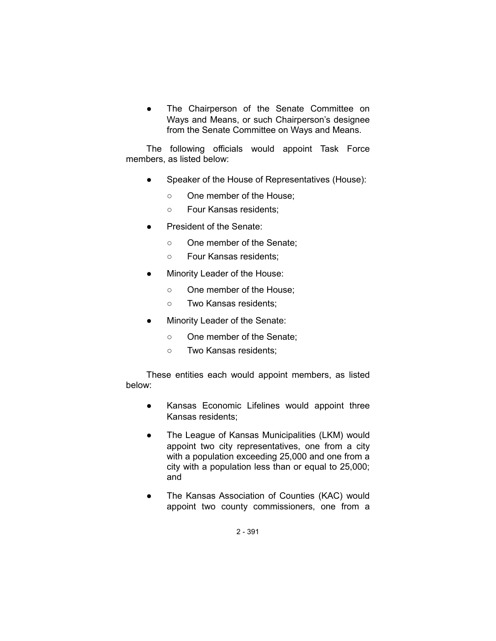The Chairperson of the Senate Committee on Ways and Means, or such Chairperson's designee from the Senate Committee on Ways and Means.

The following officials would appoint Task Force members, as listed below:

- Speaker of the House of Representatives (House):
	- One member of the House;
	- Four Kansas residents;
- President of the Senate:
	- One member of the Senate:
	- Four Kansas residents;
- Minority Leader of the House:
	- One member of the House;
	- Two Kansas residents;
- Minority Leader of the Senate:
	- One member of the Senate;
	- Two Kansas residents;

These entities each would appoint members, as listed below:

- Kansas Economic Lifelines would appoint three Kansas residents;
- The League of Kansas Municipalities (LKM) would appoint two city representatives, one from a city with a population exceeding 25,000 and one from a city with a population less than or equal to 25,000; and
- The Kansas Association of Counties (KAC) would appoint two county commissioners, one from a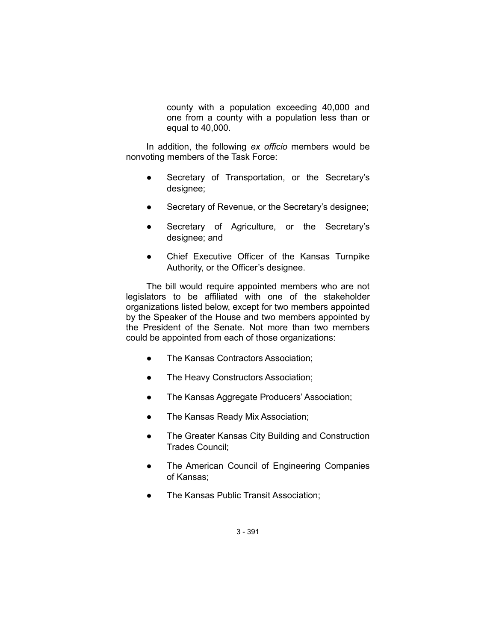county with a population exceeding 40,000 and one from a county with a population less than or equal to 40,000.

In addition, the following *ex officio* members would be nonvoting members of the Task Force:

- Secretary of Transportation, or the Secretary's designee;
- Secretary of Revenue, or the Secretary's designee;
- Secretary of Agriculture, or the Secretary's designee; and
- Chief Executive Officer of the Kansas Turnpike Authority, or the Officer's designee.

The bill would require appointed members who are not legislators to be affiliated with one of the stakeholder organizations listed below, except for two members appointed by the Speaker of the House and two members appointed by the President of the Senate. Not more than two members could be appointed from each of those organizations:

- The Kansas Contractors Association;
- The Heavy Constructors Association;
- The Kansas Aggregate Producers' Association;
- The Kansas Ready Mix Association;
- The Greater Kansas City Building and Construction Trades Council;
- The American Council of Engineering Companies of Kansas;
- The Kansas Public Transit Association;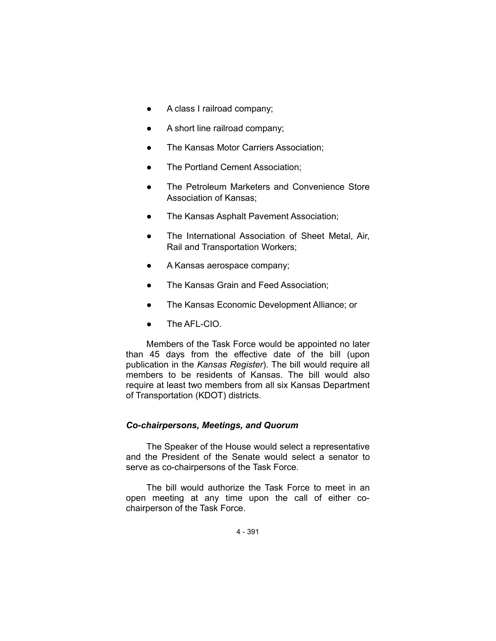- A class I railroad company;
- A short line railroad company;
- The Kansas Motor Carriers Association;
- The Portland Cement Association;
- The Petroleum Marketers and Convenience Store Association of Kansas;
- The Kansas Asphalt Pavement Association;
- The International Association of Sheet Metal, Air, Rail and Transportation Workers;
- A Kansas aerospace company;
- The Kansas Grain and Feed Association;
- The Kansas Economic Development Alliance; or
- The AFL-CIO.

Members of the Task Force would be appointed no later than 45 days from the effective date of the bill (upon publication in the *Kansas Register*). The bill would require all members to be residents of Kansas. The bill would also require at least two members from all six Kansas Department of Transportation (KDOT) districts.

# *Co-chairpersons, Meetings, and Quorum*

The Speaker of the House would select a representative and the President of the Senate would select a senator to serve as co-chairpersons of the Task Force.

The bill would authorize the Task Force to meet in an open meeting at any time upon the call of either cochairperson of the Task Force.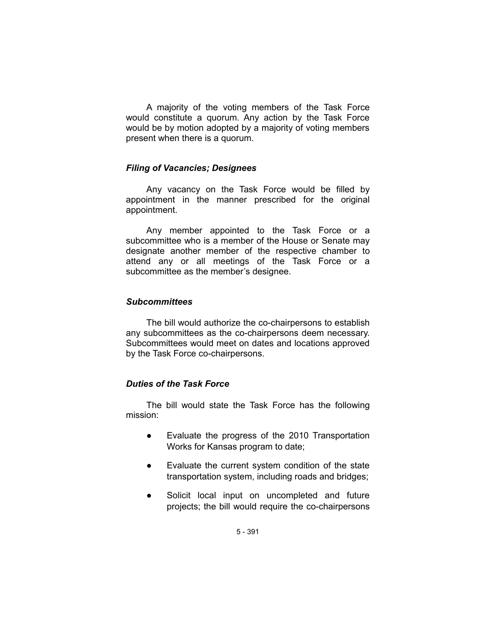A majority of the voting members of the Task Force would constitute a quorum. Any action by the Task Force would be by motion adopted by a majority of voting members present when there is a quorum.

### *Filing of Vacancies; Designees*

Any vacancy on the Task Force would be filled by appointment in the manner prescribed for the original appointment.

Any member appointed to the Task Force or a subcommittee who is a member of the House or Senate may designate another member of the respective chamber to attend any or all meetings of the Task Force or a subcommittee as the member's designee.

#### *Subcommittees*

The bill would authorize the co-chairpersons to establish any subcommittees as the co-chairpersons deem necessary. Subcommittees would meet on dates and locations approved by the Task Force co-chairpersons.

### *Duties of the Task Force*

The bill would state the Task Force has the following mission:

- Evaluate the progress of the 2010 Transportation Works for Kansas program to date;
- Evaluate the current system condition of the state transportation system, including roads and bridges;
- Solicit local input on uncompleted and future projects; the bill would require the co-chairpersons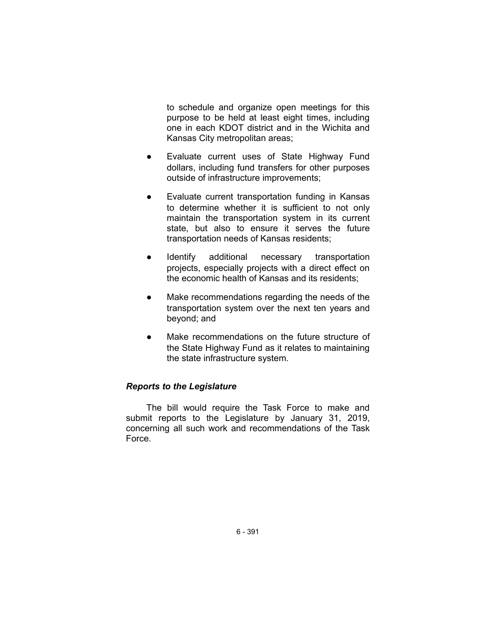to schedule and organize open meetings for this purpose to be held at least eight times, including one in each KDOT district and in the Wichita and Kansas City metropolitan areas;

- Evaluate current uses of State Highway Fund dollars, including fund transfers for other purposes outside of infrastructure improvements;
- Evaluate current transportation funding in Kansas to determine whether it is sufficient to not only maintain the transportation system in its current state, but also to ensure it serves the future transportation needs of Kansas residents;
- Identify additional necessary transportation projects, especially projects with a direct effect on the economic health of Kansas and its residents;
- Make recommendations regarding the needs of the transportation system over the next ten years and beyond; and
- Make recommendations on the future structure of the State Highway Fund as it relates to maintaining the state infrastructure system.

# *Reports to the Legislature*

The bill would require the Task Force to make and submit reports to the Legislature by January 31, 2019, concerning all such work and recommendations of the Task Force.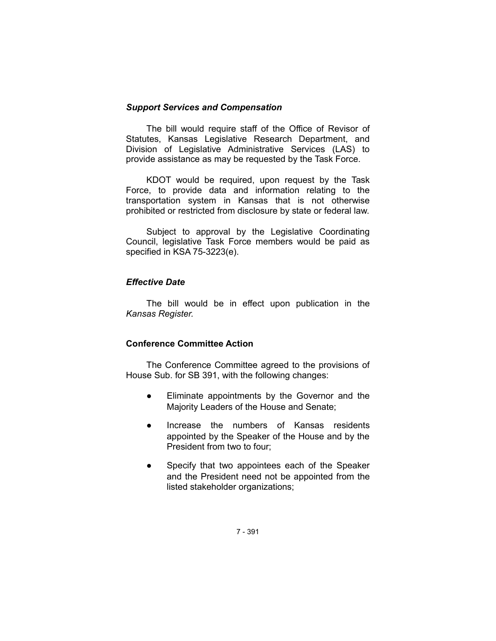# *Support Services and Compensation*

The bill would require staff of the Office of Revisor of Statutes, Kansas Legislative Research Department, and Division of Legislative Administrative Services (LAS) to provide assistance as may be requested by the Task Force.

KDOT would be required, upon request by the Task Force, to provide data and information relating to the transportation system in Kansas that is not otherwise prohibited or restricted from disclosure by state or federal law.

Subject to approval by the Legislative Coordinating Council, legislative Task Force members would be paid as specified in KSA 75-3223(e).

# *Effective Date*

The bill would be in effect upon publication in the *Kansas Register.*

# **Conference Committee Action**

The Conference Committee agreed to the provisions of House Sub. for SB 391, with the following changes:

- Eliminate appointments by the Governor and the Majority Leaders of the House and Senate;
- Increase the numbers of Kansas residents appointed by the Speaker of the House and by the President from two to four;
- Specify that two appointees each of the Speaker and the President need not be appointed from the listed stakeholder organizations;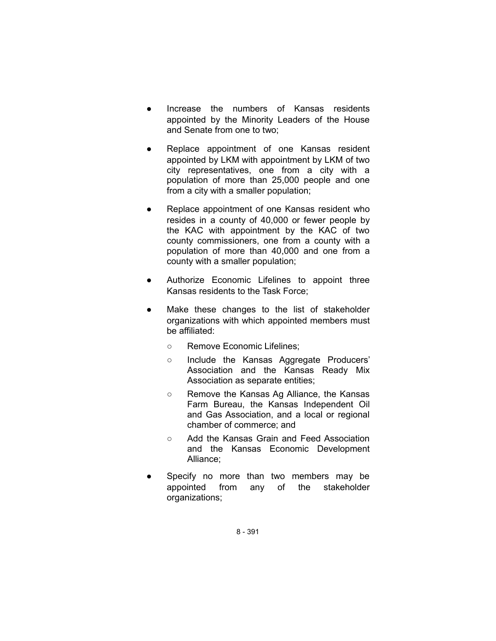- Increase the numbers of Kansas residents appointed by the Minority Leaders of the House and Senate from one to two;
- Replace appointment of one Kansas resident appointed by LKM with appointment by LKM of two city representatives, one from a city with a population of more than 25,000 people and one from a city with a smaller population;
- Replace appointment of one Kansas resident who resides in a county of 40,000 or fewer people by the KAC with appointment by the KAC of two county commissioners, one from a county with a population of more than 40,000 and one from a county with a smaller population;
- Authorize Economic Lifelines to appoint three Kansas residents to the Task Force;
- Make these changes to the list of stakeholder organizations with which appointed members must be affiliated:
	- Remove Economic Lifelines;
	- Include the Kansas Aggregate Producers' Association and the Kansas Ready Mix Association as separate entities;
	- Remove the Kansas Ag Alliance, the Kansas Farm Bureau, the Kansas Independent Oil and Gas Association, and a local or regional chamber of commerce; and
	- Add the Kansas Grain and Feed Association and the Kansas Economic Development Alliance;
- Specify no more than two members may be appointed from any of the stakeholder organizations;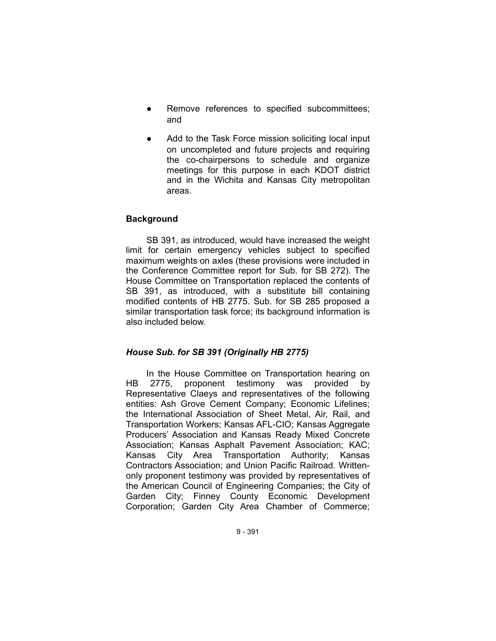- Remove references to specified subcommittees; and
- Add to the Task Force mission soliciting local input on uncompleted and future projects and requiring the co-chairpersons to schedule and organize meetings for this purpose in each KDOT district and in the Wichita and Kansas City metropolitan areas.

# **Background**

SB 391, as introduced, would have increased the weight limit for certain emergency vehicles subject to specified maximum weights on axles (these provisions were included in the Conference Committee report for Sub. for SB 272). The House Committee on Transportation replaced the contents of SB 391, as introduced, with a substitute bill containing modified contents of HB 2775. Sub. for SB 285 proposed a similar transportation task force; its background information is also included below.

# *House Sub. for SB 391 (Originally HB 2775)*

In the House Committee on Transportation hearing on HB 2775, proponent testimony was provided by Representative Claeys and representatives of the following entities: Ash Grove Cement Company; Economic Lifelines; the International Association of Sheet Metal, Air, Rail, and Transportation Workers; Kansas AFL-CIO; Kansas Aggregate Producers' Association and Kansas Ready Mixed Concrete Association; Kansas Asphalt Pavement Association; KAC; Kansas City Area Transportation Authority; Kansas Contractors Association; and Union Pacific Railroad. Writtenonly proponent testimony was provided by representatives of the American Council of Engineering Companies; the City of Garden City; Finney County Economic Development Corporation; Garden City Area Chamber of Commerce;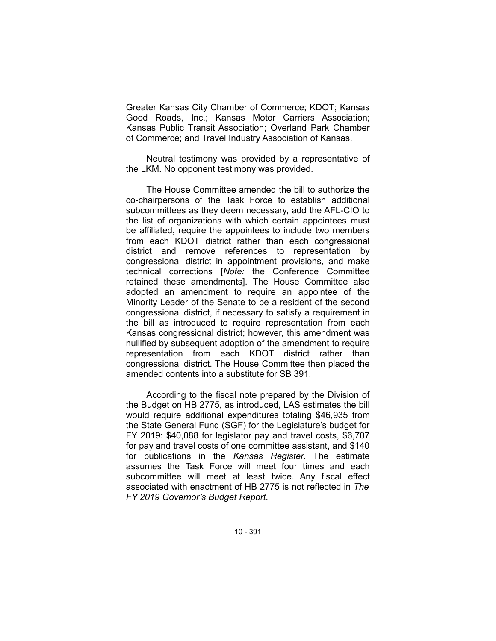Greater Kansas City Chamber of Commerce; KDOT; Kansas Good Roads, Inc.; Kansas Motor Carriers Association; Kansas Public Transit Association; Overland Park Chamber of Commerce; and Travel Industry Association of Kansas.

Neutral testimony was provided by a representative of the LKM. No opponent testimony was provided.

The House Committee amended the bill to authorize the co-chairpersons of the Task Force to establish additional subcommittees as they deem necessary, add the AFL-CIO to the list of organizations with which certain appointees must be affiliated, require the appointees to include two members from each KDOT district rather than each congressional district and remove references to representation by congressional district in appointment provisions, and make technical corrections [*Note:* the Conference Committee retained these amendments]. The House Committee also adopted an amendment to require an appointee of the Minority Leader of the Senate to be a resident of the second congressional district, if necessary to satisfy a requirement in the bill as introduced to require representation from each Kansas congressional district; however, this amendment was nullified by subsequent adoption of the amendment to require representation from each KDOT district rather than congressional district. The House Committee then placed the amended contents into a substitute for SB 391.

According to the fiscal note prepared by the Division of the Budget on HB 2775, as introduced, LAS estimates the bill would require additional expenditures totaling \$46,935 from the State General Fund (SGF) for the Legislature's budget for FY 2019: \$40,088 for legislator pay and travel costs, \$6,707 for pay and travel costs of one committee assistant, and \$140 for publications in the *Kansas Register*. The estimate assumes the Task Force will meet four times and each subcommittee will meet at least twice. Any fiscal effect associated with enactment of HB 2775 is not reflected in *The FY 2019 Governor's Budget Report*.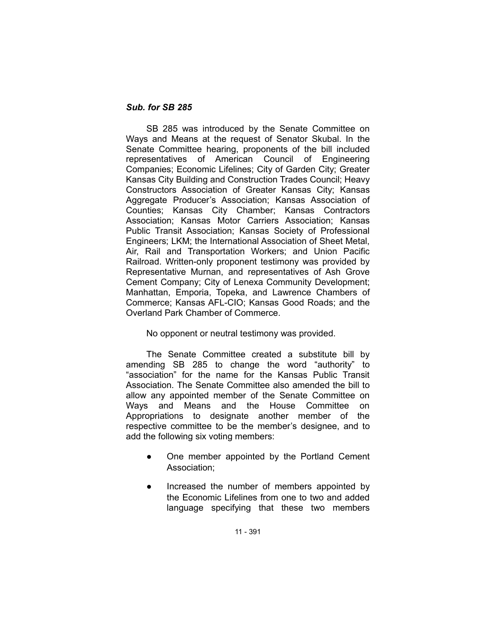# *Sub. for SB 285*

SB 285 was introduced by the Senate Committee on Ways and Means at the request of Senator Skubal. In the Senate Committee hearing, proponents of the bill included representatives of American Council of Engineering Companies; Economic Lifelines; City of Garden City; Greater Kansas City Building and Construction Trades Council; Heavy Constructors Association of Greater Kansas City; Kansas Aggregate Producer's Association; Kansas Association of Counties; Kansas City Chamber; Kansas Contractors Association; Kansas Motor Carriers Association; Kansas Public Transit Association; Kansas Society of Professional Engineers; LKM; the International Association of Sheet Metal, Air, Rail and Transportation Workers; and Union Pacific Railroad. Written-only proponent testimony was provided by Representative Murnan, and representatives of Ash Grove Cement Company; City of Lenexa Community Development; Manhattan, Emporia, Topeka, and Lawrence Chambers of Commerce; Kansas AFL-CIO; Kansas Good Roads; and the Overland Park Chamber of Commerce.

No opponent or neutral testimony was provided.

The Senate Committee created a substitute bill by amending SB 285 to change the word "authority" to "association" for the name for the Kansas Public Transit Association. The Senate Committee also amended the bill to allow any appointed member of the Senate Committee on Ways and Means and the House Committee on Appropriations to designate another member of the respective committee to be the member's designee, and to add the following six voting members:

- One member appointed by the Portland Cement Association;
- Increased the number of members appointed by the Economic Lifelines from one to two and added language specifying that these two members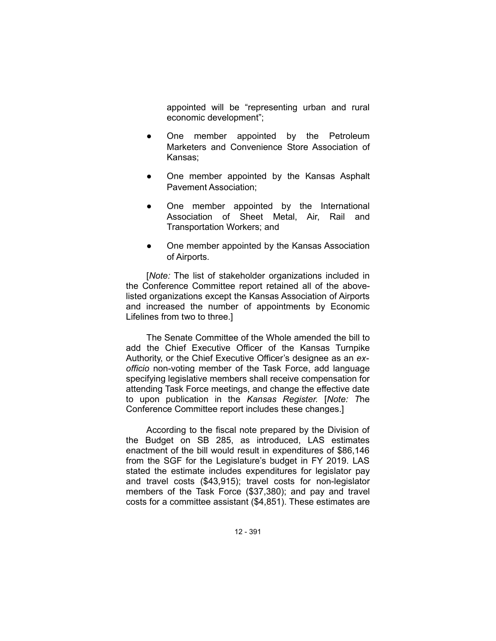appointed will be "representing urban and rural economic development";

- One member appointed by the Petroleum Marketers and Convenience Store Association of Kansas;
- One member appointed by the Kansas Asphalt Pavement Association;
- One member appointed by the International Association of Sheet Metal, Air, Rail and Transportation Workers; and
- One member appointed by the Kansas Association of Airports.

[*Note:* The list of stakeholder organizations included in the Conference Committee report retained all of the abovelisted organizations except the Kansas Association of Airports and increased the number of appointments by Economic Lifelines from two to three.]

The Senate Committee of the Whole amended the bill to add the Chief Executive Officer of the Kansas Turnpike Authority, or the Chief Executive Officer's designee as an *exofficio* non-voting member of the Task Force, add language specifying legislative members shall receive compensation for attending Task Force meetings, and change the effective date to upon publication in the *Kansas Register.* [*Note: T*he Conference Committee report includes these changes.]

According to the fiscal note prepared by the Division of the Budget on SB 285, as introduced, LAS estimates enactment of the bill would result in expenditures of \$86,146 from the SGF for the Legislature's budget in FY 2019. LAS stated the estimate includes expenditures for legislator pay and travel costs (\$43,915); travel costs for non-legislator members of the Task Force (\$37,380); and pay and travel costs for a committee assistant (\$4,851). These estimates are